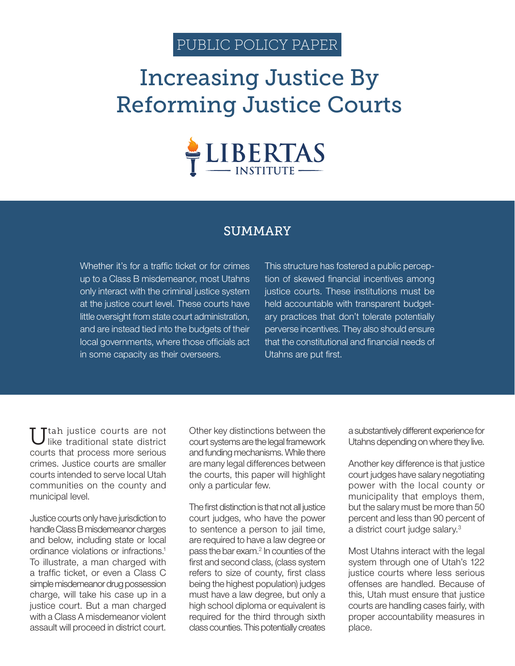# PUBLIC POLICY PAPER

# Increasing Justice By Reforming Justice Courts



## SUMMARY

Whether it's for a traffic ticket or for crimes up to a Class B misdemeanor, most Utahns only interact with the criminal justice system at the justice court level. These courts have little oversight from state court administration, and are instead tied into the budgets of their local governments, where those officials act in some capacity as their overseers.

This structure has fostered a public perception of skewed financial incentives among justice courts. These institutions must be held accountable with transparent budgetary practices that don't tolerate potentially perverse incentives. They also should ensure that the constitutional and financial needs of Utahns are put first.

Ttah justice courts are not like traditional state district courts that process more serious crimes. Justice courts are smaller courts intended to serve local Utah communities on the county and municipal level.

Justice courts only have jurisdiction to handle Class B misdemeanor charges and below, including state or local ordinance violations or infractions.1 To illustrate, a man charged with a traffic ticket, or even a Class C simple misdemeanor drug possession charge, will take his case up in a justice court. But a man charged with a Class A misdemeanor violent assault will proceed in district court.

Other key distinctions between the court systems are the legal framework and funding mechanisms. While there are many legal differences between the courts, this paper will highlight only a particular few.

The first distinction is that not all justice court judges, who have the power to sentence a person to jail time, are required to have a law degree or pass the bar exam.<sup>2</sup> In counties of the first and second class, (class system refers to size of county, first class being the highest population) judges must have a law degree, but only a high school diploma or equivalent is required for the third through sixth class counties. This potentially creates

a substantively different experience for Utahns depending on where they live.

Another key difference is that justice court judges have salary negotiating power with the local county or municipality that employs them, but the salary must be more than 50 percent and less than 90 percent of a district court judge salary.<sup>3</sup>

Most Utahns interact with the legal system through one of Utah's 122 justice courts where less serious offenses are handled. Because of this, Utah must ensure that justice courts are handling cases fairly, with proper accountability measures in place.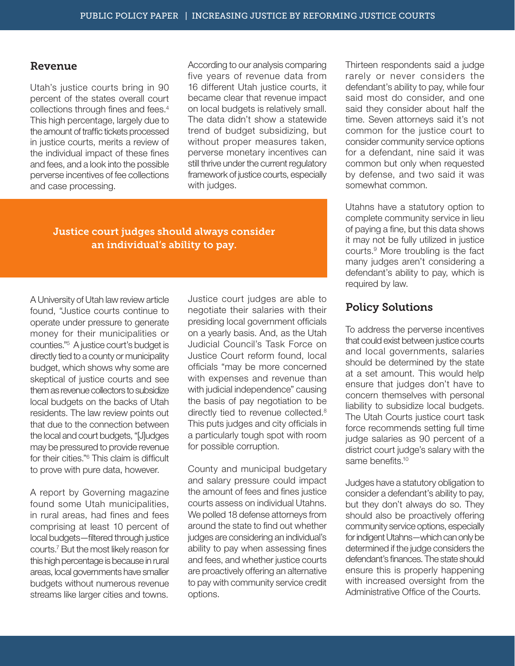#### Revenue

Utah's justice courts bring in 90 percent of the states overall court collections through fines and fees.4 This high percentage, largely due to the amount of traffic tickets processed in justice courts, merits a review of the individual impact of these fines and fees, and a look into the possible perverse incentives of fee collections and case processing.

According to our analysis comparing five years of revenue data from 16 different Utah justice courts, it became clear that revenue impact on local budgets is relatively small. The data didn't show a statewide trend of budget subsidizing, but without proper measures taken, perverse monetary incentives can still thrive under the current regulatory framework of justice courts, especially with judges.

### Justice court judges should always consider an individual's ability to pay.

A University of Utah law review article found, "Justice courts continue to operate under pressure to generate money for their municipalities or counties."5 A justice court's budget is directly tied to a county or municipality budget, which shows why some are skeptical of justice courts and see them as revenue collectors to subsidize local budgets on the backs of Utah residents. The law review points out that due to the connection between the local and court budgets, "[J]udges may be pressured to provide revenue for their cities."6 This claim is difficult to prove with pure data, however.

A report by Governing magazine found some Utah municipalities, in rural areas, had fines and fees comprising at least 10 percent of local budgets—filtered through justice courts.7 But the most likely reason for this high percentage is because in rural areas, local governments have smaller budgets without numerous revenue streams like larger cities and towns.

Justice court judges are able to negotiate their salaries with their presiding local government officials on a yearly basis. And, as the Utah Judicial Council's Task Force on Justice Court reform found, local officials "may be more concerned with expenses and revenue than with judicial independence" causing the basis of pay negotiation to be directly tied to revenue collected.<sup>8</sup> This puts judges and city officials in a particularly tough spot with room for possible corruption.

County and municipal budgetary and salary pressure could impact the amount of fees and fines justice courts assess on individual Utahns. We polled 18 defense attorneys from around the state to find out whether judges are considering an individual's ability to pay when assessing fines and fees, and whether justice courts are proactively offering an alternative to pay with community service credit options.

Thirteen respondents said a judge rarely or never considers the defendant's ability to pay, while four said most do consider, and one said they consider about half the time. Seven attorneys said it's not common for the justice court to consider community service options for a defendant, nine said it was common but only when requested by defense, and two said it was somewhat common.

Utahns have a statutory option to complete community service in lieu of paying a fine, but this data shows it may not be fully utilized in justice courts.9 More troubling is the fact many judges aren't considering a defendant's ability to pay, which is required by law.

## Policy Solutions

To address the perverse incentives that could exist between justice courts and local governments, salaries should be determined by the state at a set amount. This would help ensure that judges don't have to concern themselves with personal liability to subsidize local budgets. The Utah Courts justice court task force recommends setting full time judge salaries as 90 percent of a district court judge's salary with the same benefits.<sup>10</sup>

Judges have a statutory obligation to consider a defendant's ability to pay, but they don't always do so. They should also be proactively offering community service options, especially for indigent Utahns—which can only be determined if the judge considers the defendant's finances. The state should ensure this is properly happening with increased oversight from the Administrative Office of the Courts.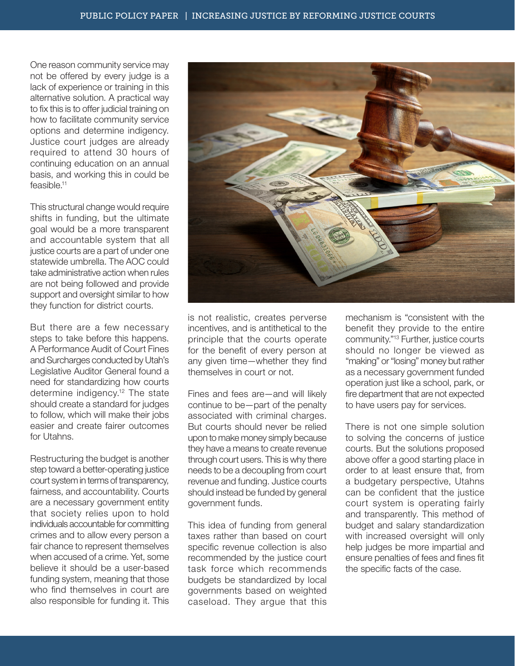One reason community service may not be offered by every judge is a lack of experience or training in this alternative solution. A practical way to fix this is to offer judicial training on how to facilitate community service options and determine indigency. Justice court judges are already required to attend 30 hours of continuing education on an annual basis, and working this in could be feasible.11

This structural change would require shifts in funding, but the ultimate goal would be a more transparent and accountable system that all justice courts are a part of under one statewide umbrella. The AOC could take administrative action when rules are not being followed and provide support and oversight similar to how they function for district courts.

But there are a few necessary steps to take before this happens. A Performance Audit of Court Fines and Surcharges conducted by Utah's Legislative Auditor General found a need for standardizing how courts determine indigency.<sup>12</sup> The state should create a standard for judges to follow, which will make their jobs easier and create fairer outcomes for Utahns.

Restructuring the budget is another step toward a better-operating justice court system in terms of transparency, fairness, and accountability. Courts are a necessary government entity that society relies upon to hold individuals accountable for committing crimes and to allow every person a fair chance to represent themselves when accused of a crime. Yet, some believe it should be a user-based funding system, meaning that those who find themselves in court are also responsible for funding it. This

is not realistic, creates perverse incentives, and is antithetical to the principle that the courts operate for the benefit of every person at any given time—whether they find themselves in court or not.

Fines and fees are—and will likely continue to be—part of the penalty associated with criminal charges. But courts should never be relied upon to make money simply because they have a means to create revenue through court users. This is why there needs to be a decoupling from court revenue and funding. Justice courts should instead be funded by general government funds.

This idea of funding from general taxes rather than based on court specific revenue collection is also recommended by the justice court task force which recommends budgets be standardized by local governments based on weighted caseload. They argue that this mechanism is "consistent with the benefit they provide to the entire community."13 Further, justice courts should no longer be viewed as "making" or "losing" money but rather as a necessary government funded operation just like a school, park, or fire department that are not expected to have users pay for services.

There is not one simple solution to solving the concerns of justice courts. But the solutions proposed above offer a good starting place in order to at least ensure that, from a budgetary perspective, Utahns can be confident that the justice court system is operating fairly and transparently. This method of budget and salary standardization with increased oversight will only help judges be more impartial and ensure penalties of fees and fines fit the specific facts of the case.